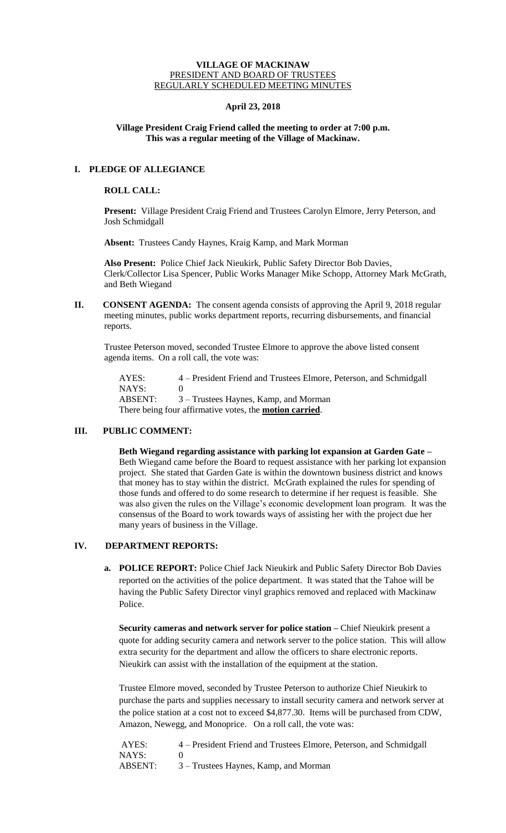## **VILLAGE OF MACKINAW** PRESIDENT AND BOARD OF TRUSTEES REGULARLY SCHEDULED MEETING MINUTES

## **April 23, 2018**

## **Village President Craig Friend called the meeting to order at 7:00 p.m. This was a regular meeting of the Village of Mackinaw.**

# **I. PLEDGE OF ALLEGIANCE**

# **ROLL CALL:**

**Present:** Village President Craig Friend and Trustees Carolyn Elmore, Jerry Peterson, and Josh Schmidgall

**Absent:** Trustees Candy Haynes, Kraig Kamp, and Mark Morman

**Also Present:** Police Chief Jack Nieukirk, Public Safety Director Bob Davies, Clerk/Collector Lisa Spencer, Public Works Manager Mike Schopp, Attorney Mark McGrath, and Beth Wiegand

**II.** CONSENT AGENDA: The consent agenda consists of approving the April 9, 2018 regular meeting minutes, public works department reports, recurring disbursements, and financial reports.

Trustee Peterson moved, seconded Trustee Elmore to approve the above listed consent agenda items. On a roll call, the vote was:

AYES: 4 – President Friend and Trustees Elmore, Peterson, and Schmidgall NAYS: 0 ABSENT: 3 – Trustees Haynes, Kamp, and Morman There being four affirmative votes, the **motion carried**.

# **III. PUBLIC COMMENT:**

**Beth Wiegand regarding assistance with parking lot expansion at Garden Gate –** Beth Wiegand came before the Board to request assistance with her parking lot expansion project. She stated that Garden Gate is within the downtown business district and knows that money has to stay within the district. McGrath explained the rules for spending of those funds and offered to do some research to determine if her request is feasible. She was also given the rules on the Village's economic development loan program. It was the consensus of the Board to work towards ways of assisting her with the project due her many years of business in the Village.

# **IV. DEPARTMENT REPORTS:**

**a. POLICE REPORT:** Police Chief Jack Nieukirk and Public Safety Director Bob Davies reported on the activities of the police department. It was stated that the Tahoe will be having the Public Safety Director vinyl graphics removed and replaced with Mackinaw Police.

**Security cameras and network server for police station –** Chief Nieukirk present a quote for adding security camera and network server to the police station. This will allow extra security for the department and allow the officers to share electronic reports. Nieukirk can assist with the installation of the equipment at the station.

Trustee Elmore moved, seconded by Trustee Peterson to authorize Chief Nieukirk to purchase the parts and supplies necessary to install security camera and network server at the police station at a cost not to exceed \$4,877.30. Items will be purchased from CDW, Amazon, Newegg, and Monoprice. On a roll call, the vote was:

| AYES:   | 4 – President Friend and Trustees Elmore, Peterson, and Schmidgall |
|---------|--------------------------------------------------------------------|
| NAYS:   |                                                                    |
| ABSENT: | 3 – Trustees Haynes, Kamp, and Morman                              |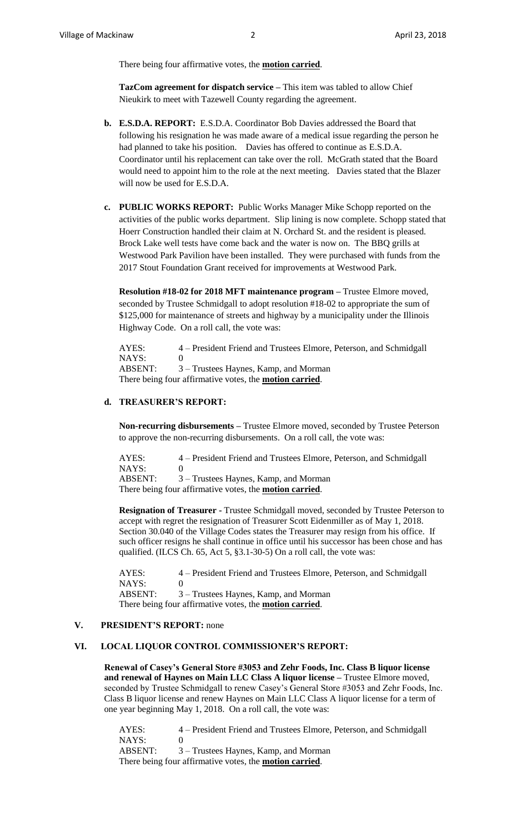There being four affirmative votes, the **motion carried**.

**TazCom agreement for dispatch service –** This item was tabled to allow Chief Nieukirk to meet with Tazewell County regarding the agreement.

- **b. E.S.D.A. REPORT:** E.S.D.A. Coordinator Bob Davies addressed the Board that following his resignation he was made aware of a medical issue regarding the person he had planned to take his position. Davies has offered to continue as E.S.D.A. Coordinator until his replacement can take over the roll. McGrath stated that the Board would need to appoint him to the role at the next meeting. Davies stated that the Blazer will now be used for E.S.D.A.
- **c. PUBLIC WORKS REPORT:** Public Works Manager Mike Schopp reported on the activities of the public works department. Slip lining is now complete. Schopp stated that Hoerr Construction handled their claim at N. Orchard St. and the resident is pleased. Brock Lake well tests have come back and the water is now on. The BBQ grills at Westwood Park Pavilion have been installed. They were purchased with funds from the 2017 Stout Foundation Grant received for improvements at Westwood Park.

**Resolution #18-02 for 2018 MFT maintenance program –** Trustee Elmore moved, seconded by Trustee Schmidgall to adopt resolution #18-02 to appropriate the sum of \$125,000 for maintenance of streets and highway by a municipality under the Illinois Highway Code. On a roll call, the vote was:

AYES: 4 – President Friend and Trustees Elmore, Peterson, and Schmidgall NAYS: 0 ABSENT: 3 – Trustees Haynes, Kamp, and Morman There being four affirmative votes, the **motion carried**.

#### **d. TREASURER'S REPORT:**

**Non-recurring disbursements –** Trustee Elmore moved, seconded by Trustee Peterson to approve the non-recurring disbursements. On a roll call, the vote was:

AYES: 4 – President Friend and Trustees Elmore, Peterson, and Schmidgall NAYS: 0 ABSENT: 3 – Trustees Haynes, Kamp, and Morman There being four affirmative votes, the **motion carried**.

**Resignation of Treasurer -** Trustee Schmidgall moved, seconded by Trustee Peterson to accept with regret the resignation of Treasurer Scott Eidenmiller as of May 1, 2018. Section 30.040 of the Village Codes states the Treasurer may resign from his office. If such officer resigns he shall continue in office until his successor has been chose and has qualified. (ILCS Ch. 65, Act 5, §3.1-30-5) On a roll call, the vote was:

AYES: 4 – President Friend and Trustees Elmore, Peterson, and Schmidgall NAYS: 0 ABSENT: 3 – Trustees Haynes, Kamp, and Morman There being four affirmative votes, the **motion carried**.

### **V. PRESIDENT'S REPORT:** none

### **VI. LOCAL LIQUOR CONTROL COMMISSIONER'S REPORT:**

**Renewal of Casey's General Store #3053 and Zehr Foods, Inc. Class B liquor license and renewal of Haynes on Main LLC Class A liquor license –** Trustee Elmore moved, seconded by Trustee Schmidgall to renew Casey's General Store #3053 and Zehr Foods, Inc. Class B liquor license and renew Haynes on Main LLC Class A liquor license for a term of one year beginning May 1, 2018. On a roll call, the vote was:

AYES: 4 – President Friend and Trustees Elmore, Peterson, and Schmidgall NAYS: 0 ABSENT: 3 – Trustees Haynes, Kamp, and Morman There being four affirmative votes, the **motion carried**.